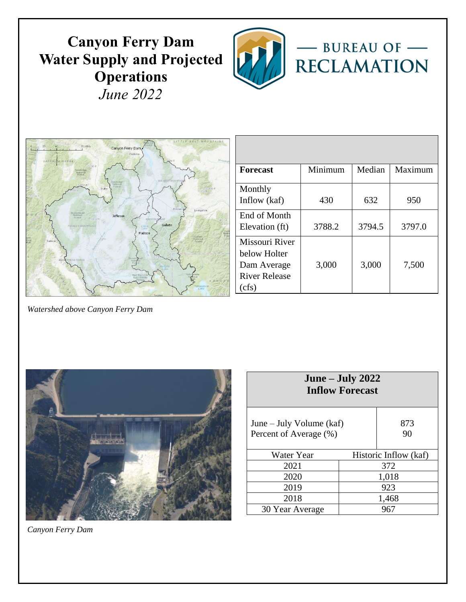# **Canyon Ferry Dam Water Supply and Projected Operations** *June 2022*





| <b>Forecast</b>                                                               | Minimum | Median | Maximum |
|-------------------------------------------------------------------------------|---------|--------|---------|
| Monthly<br>Inflow (kaf)                                                       | 430     | 632    | 950     |
| End of Month<br>Elevation (ft)                                                | 3788.2  | 3794.5 | 3797.0  |
| Missouri River<br>below Holter<br>Dam Average<br><b>River Release</b><br>cfs) | 3,000   | 3,000  | 7,500   |

*Watershed above Canyon Ferry Dam*



| June – July $2022$<br><b>Inflow Forecast</b>       |       |                       |  |  |  |  |  |  |  |  |  |
|----------------------------------------------------|-------|-----------------------|--|--|--|--|--|--|--|--|--|
| June – July Volume (kaf)<br>Percent of Average (%) |       | 873<br>90             |  |  |  |  |  |  |  |  |  |
| Water Year                                         |       | Historic Inflow (kaf) |  |  |  |  |  |  |  |  |  |
| 2021                                               |       | 372                   |  |  |  |  |  |  |  |  |  |
| 2020                                               | 1,018 |                       |  |  |  |  |  |  |  |  |  |
| 2019                                               | 923   |                       |  |  |  |  |  |  |  |  |  |
| 2018                                               |       | 1,468                 |  |  |  |  |  |  |  |  |  |
| 30 Year Average                                    |       | 967                   |  |  |  |  |  |  |  |  |  |

*Canyon Ferry Dam*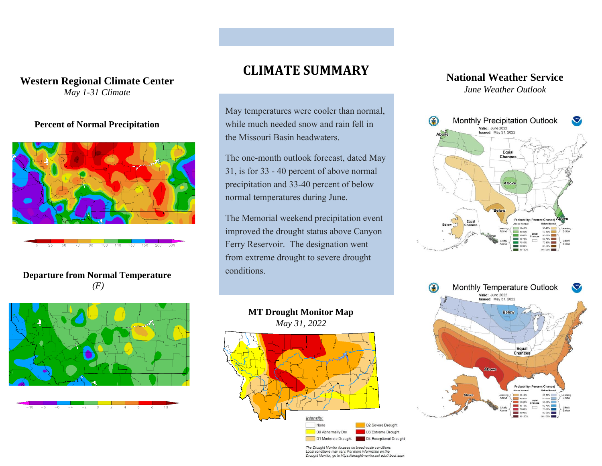#### **Western Regional Climate Center** *May 1-31 Climate*

#### **Percent of Normal Precipitation**



 $\overline{90}$  $100$  $110 - 130$  $150$ 200

#### **Departure from Normal Temperature** *(F)*



## **CLIMATE SUMMARY**

May temperatures were cooler than normal, while much needed snow and rain fell in the Missouri Basin headwaters.

The one-month outlook forecast, dated May 31, is for 33 - 40 percent of above normal precipitation and 33-40 percent of below normal temperatures during June.

The Memorial weekend precipitation event improved the drought status above Canyon Ferry Reservoir. The designation went from extreme drought to severe drought conditions.



### **National Weather Service** *June Weather Outlook*





The Drought Monitor focuses on broad-scale conditions. Local conditions may vary. For more information on the<br>Drought Monitor, go to https://droughtmonitor.unl.edu/About.aspx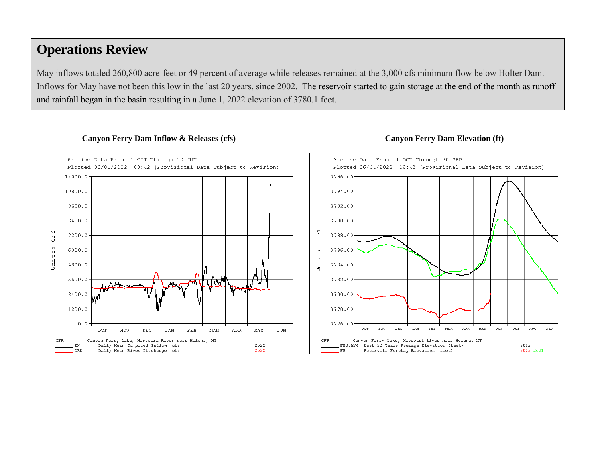## **Operations Review**

May inflows totaled 260,800 acre-feet or 49 percent of average while releases remained at the 3,000 cfs minimum flow below Holter Dam. Inflows for May have not been this low in the last 20 years, since 2002. The reservoir started to gain storage at the end of the month as runoff and rainfall began in the basin resulting in a June 1, 2022 elevation of 3780.1 feet.



#### Canyon Ferry Dam Inflow & Releases (cfs) Canyon Ferry Dam Elevation (ft)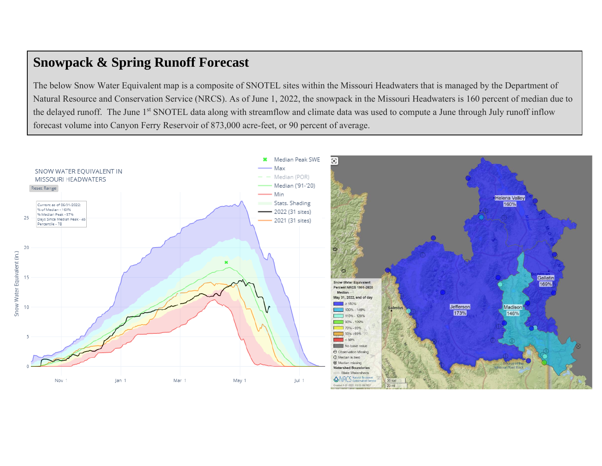## **Snowpack & Spring Runoff Forecast**

The below Snow Water Equivalent map is a composite of SNOTEL sites within the Missouri Headwaters that is managed by the Department of Natural Resource and Conservation Service (NRCS). As of June 1, 2022, the snowpack in the Missouri Headwaters is 160 percent of median due to the delayed runoff. The June 1<sup>st</sup> SNOTEL data along with streamflow and climate data was used to compute a June through July runoff inflow forecast volume into Canyon Ferry Reservoir of 873,000 acre-feet, or 90 percent of average.

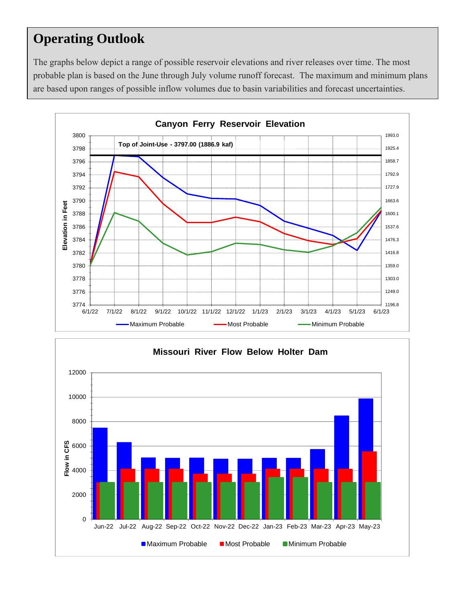# **Operating Outlook**

The graphs below depict a range of possible reservoir elevations and river releases over time. The most probable plan is based on the June through July volume runoff forecast. The maximum and minimum plans are based upon ranges of possible inflow volumes due to basin variabilities and forecast uncertainties.